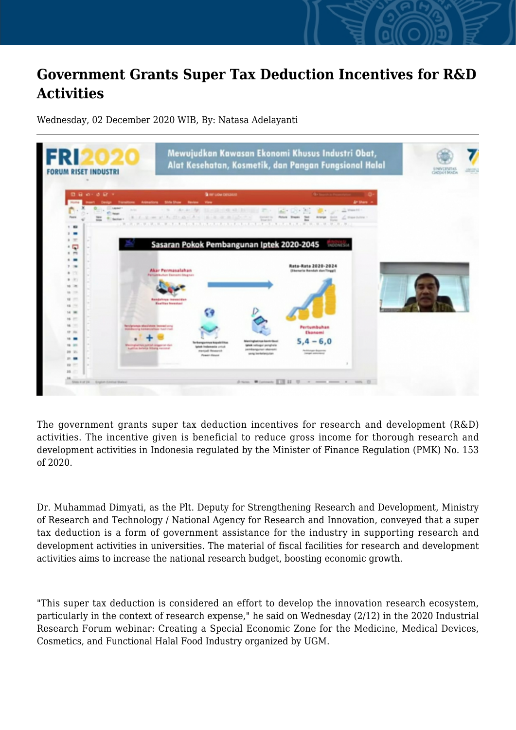## **Government Grants Super Tax Deduction Incentives for R&D Activities**

Wednesday, 02 December 2020 WIB, By: Natasa Adelayanti



The government grants super tax deduction incentives for research and development (R&D) activities. The incentive given is beneficial to reduce gross income for thorough research and development activities in Indonesia regulated by the Minister of Finance Regulation (PMK) No. 153 of 2020.

Dr. Muhammad Dimyati, as the Plt. Deputy for Strengthening Research and Development, Ministry of Research and Technology / National Agency for Research and Innovation, conveyed that a super tax deduction is a form of government assistance for the industry in supporting research and development activities in universities. The material of fiscal facilities for research and development activities aims to increase the national research budget, boosting economic growth.

"This super tax deduction is considered an effort to develop the innovation research ecosystem, particularly in the context of research expense," he said on Wednesday (2/12) in the 2020 Industrial Research Forum webinar: Creating a Special Economic Zone for the Medicine, Medical Devices, Cosmetics, and Functional Halal Food Industry organized by UGM.